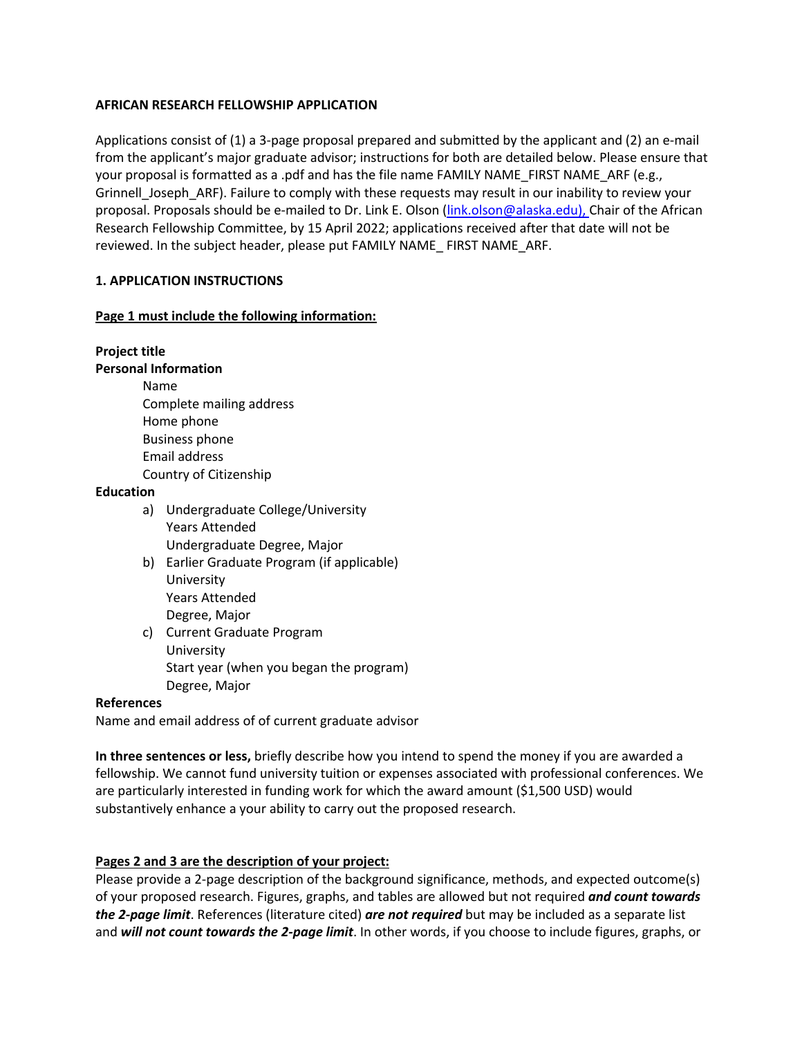### **AFRICAN RESEARCH FELLOWSHIP APPLICATION**

Applications consist of (1) a 3-page proposal prepared and submitted by the applicant and (2) an e-mail from the applicant's major graduate advisor; instructions for both are detailed below. Please ensure that your proposal is formatted as a .pdf and has the file name FAMILY NAME FIRST NAME ARF (e.g., Grinnell Joseph ARF). Failure to comply with these requests may result in our inability to review your proposal. Proposals should be e-mailed to Dr. Link E. Olson (link.olson@alaska.edu), Chair of the African Research Fellowship Committee, by 15 April 2022; applications received after that date will not be reviewed. In the subject header, please put FAMILY NAME\_ FIRST NAME\_ARF.

## **1. APPLICATION INSTRUCTIONS**

### **Page 1 must include the following information:**

# **Project title**

## **Personal Information**

Name Complete mailing address Home phone Business phone Email address Country of Citizenship

### **Education**

- a) Undergraduate College/University Years Attended Undergraduate Degree, Major
- b) Earlier Graduate Program (if applicable) University Years Attended Degree, Major
- c) Current Graduate Program University Start year (when you began the program) Degree, Major

### **References**

Name and email address of of current graduate advisor

**In three sentences or less,** briefly describe how you intend to spend the money if you are awarded a fellowship. We cannot fund university tuition or expenses associated with professional conferences. We are particularly interested in funding work for which the award amount (\$1,500 USD) would substantively enhance a your ability to carry out the proposed research.

# **Pages 2 and 3 are the description of your project:**

Please provide a 2-page description of the background significance, methods, and expected outcome(s) of your proposed research. Figures, graphs, and tables are allowed but not required *and count towards the 2-page limit*. References (literature cited) *are not required* but may be included as a separate list and *will not count towards the 2-page limit*. In other words, if you choose to include figures, graphs, or